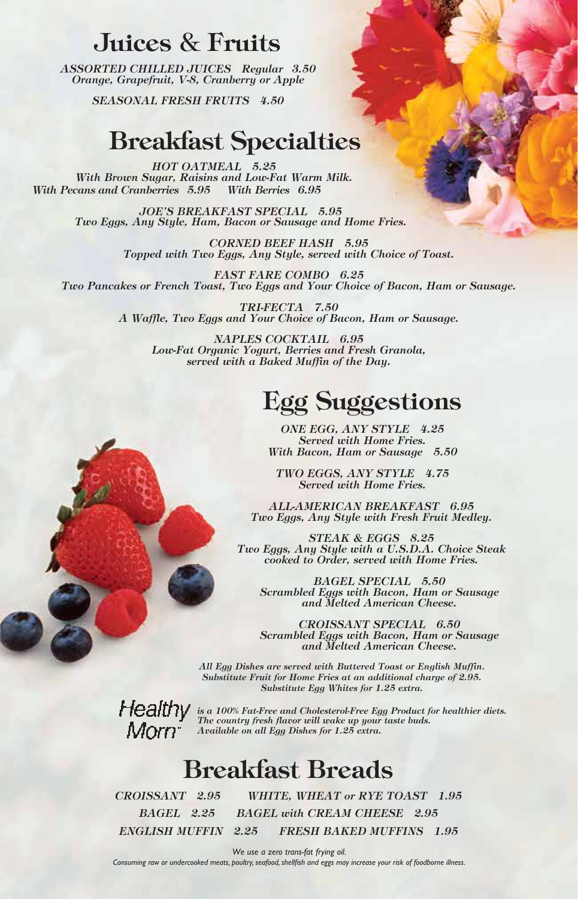Juices & Fruits

*ASSORTED CHILLED JUICES Regular 3.50 Orange, Grapefruit, V-8, Cranberry or Apple*

*SEASONAL FRESH FRUITS 4.50*

#### Breakfast Specialties

*HOT OATMEAL 5.25 With Brown Sugar, Raisins and Low-Fat Warm Milk. With Pecans and Cranberries 5.95 With Berries 6.95*

> *JOE'S BREAKFAST SPECIAL 5.95 Two Eggs, Any Style, Ham, Bacon or Sausage and Home Fries.*

> > *CORNED BEEF HASH 5.95 Topped with Two Eggs, Any Style, served with Choice of Toast.*

*FAST FARE COMBO 6.25 Two Pancakes or French Toast, Two Eggs and Your Choice of Bacon, Ham or Sausage.*

> *TRI-FECTA 7.50 A Waffle, Two Eggs and Your Choice of Bacon, Ham or Sausage.*

*NAPLES COCKTAIL 6.95 Low-Fat Organic Yogurt, Berries and Fresh Granola, served with a Baked Muffin of the Day.*

# Egg Suggestions

*ONE EGG, ANY STYLE 4.25 Served with Home Fries. With Bacon, Ham or Sausage 5.50*

*TWO EGGS, ANY STYLE 4.75 Served with Home Fries.*

*ALL-AMERICAN BREAKFAST 6.95 Two Eggs, Any Style with Fresh Fruit Medley.*

*STEAK & EGGS 8.25 Two Eggs, Any Style with a U.S.D.A. Choice Steak cooked to Order, served with Home Fries.*

*BAGEL SPECIAL 5.50 Scrambled Eggs with Bacon, Ham or Sausage and Melted American Cheese.*

*CROISSANT SPECIAL 6.50 Scrambled Eggs with Bacon, Ham or Sausage and Melted American Cheese.*

*All Egg Dishes are served with Buttered Toast or English Muffin. Substitute Fruit for Home Fries at an additional charge of 2.95. Substitute Egg Whites for 1.25 extra.*

Healthy Morn"

*is a 100% Fat-Free and Cholesterol-Free Egg Product for healthier diets. The country fresh flavor will wake up your taste buds. Available on all Egg Dishes for 1.25 extra.*

# Breakfast Breads

*CROISSANT 2.95 WHITE, WHEAT or RYE TOAST 1.95 BAGEL 2.25 BAGEL with CREAM CHEESE 2.95 ENGLISH MUFFIN 2.25 FRESH BAKED MUFFINS 1.95*

*We use a zero trans-fat frying oil.*

*Consuming raw or undercooked meats, poultry, seafood, shellfish and eggs may increase your risk of foodborne illness.*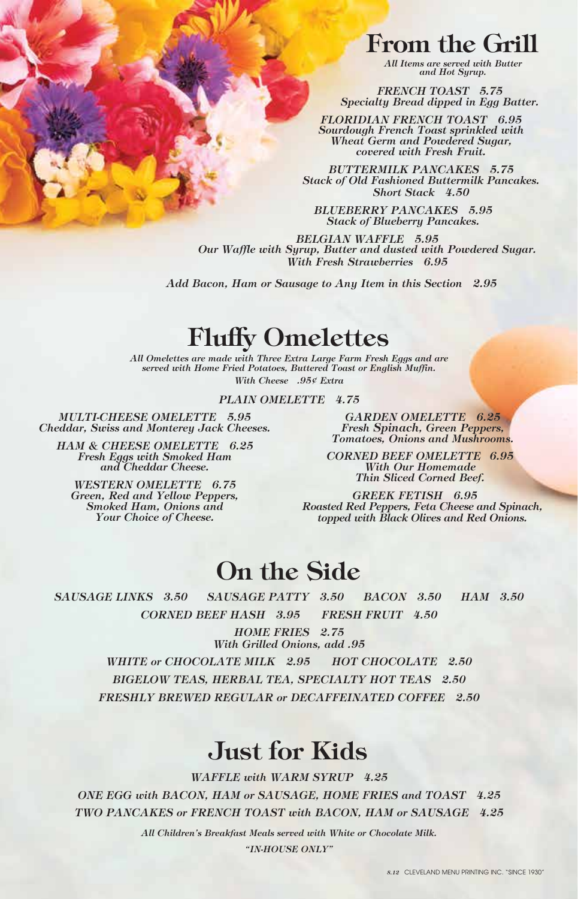## From the Grill

*All Items are served with Butter and Hot Syrup.*

*FRENCH TOAST 5.75 Specialty Bread dipped in Egg Batter.*

*FLORIDIAN FRENCH TOAST 6.95 Sourdough French Toast sprinkled with Wheat Germ and Powdered Sugar, covered with Fresh Fruit.*

*BUTTERMILK PANCAKES 5.75 Stack of Old Fashioned Buttermilk Pancakes. Short Stack 4.50*

*BLUEBERRY PANCAKES 5.95 Stack of Blueberry Pancakes.*

*BELGIAN WAFFLE 5.95 Our Waffle with Syrup, Butter and dusted with Powdered Sugar. With Fresh Strawberries 6.95*

*Add Bacon, Ham or Sausage to Any Item in this Section 2.95*

# Fluffy Omelettes

*All Omelettes are made with Three Extra Large Farm Fresh Eggs and are served with Home Fried Potatoes, Buttered Toast or English Muffin. With Cheese .95¢ Extra*

*PLAIN OMELETTE 4.75*

*MULTI-CHEESE OMELETTE 5.95 Cheddar, Swiss and Monterey Jack Cheeses.*

*HAM & CHEESE OMELETTE 6.25 Fresh Eggs with Smoked Ham and Cheddar Cheese.*

*WESTERN OMELETTE 6.75 Green, Red and Yellow Peppers, Smoked Ham, Onions and Your Choice of Cheese.*

*GARDEN OMELETTE 6.25 Fresh Spinach, Green Peppers, Tomatoes, Onions and Mushrooms.*

*CORNED BEEF OMELETTE 6.95 With Our Homemade Thin Sliced Corned Beef.*

*GREEK FETISH 6.95 Roasted Red Peppers, Feta Cheese and Spinach, topped with Black Olives and Red Onions.*

# On the Side

*SAUSAGE LINKS 3.50 SAUSAGE PATTY 3.50 BACON 3.50 HAM 3.50 CORNED BEEF HASH 3.95 FRESH FRUIT 4.50 HOME FRIES 2.75 With Grilled Onions, add .95 WHITE or CHOCOLATE MILK 2.95 HOT CHOCOLATE 2.50 BIGELOW TEAS, HERBAL TEA, SPECIALTY HOT TEAS 2.50 FRESHLY BREWED REGULAR or DECAFFEINATED COFFEE 2.50*

# Just for Kids

*WAFFLE with WARM SYRUP 4.25*

*ONE EGG with BACON, HAM or SAUSAGE, HOME FRIES and TOAST 4.25 TWO PANCAKES or FRENCH TOAST with BACON, HAM or SAUSAGE 4.25*

> *All Children's Breakfast Meals served with White or Chocolate Milk. "IN-HOUSE ONLY"*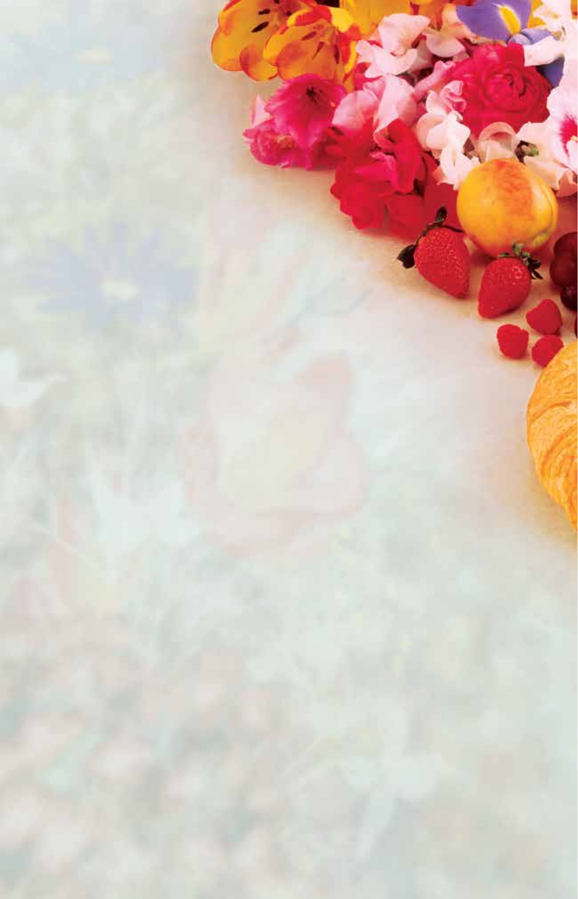